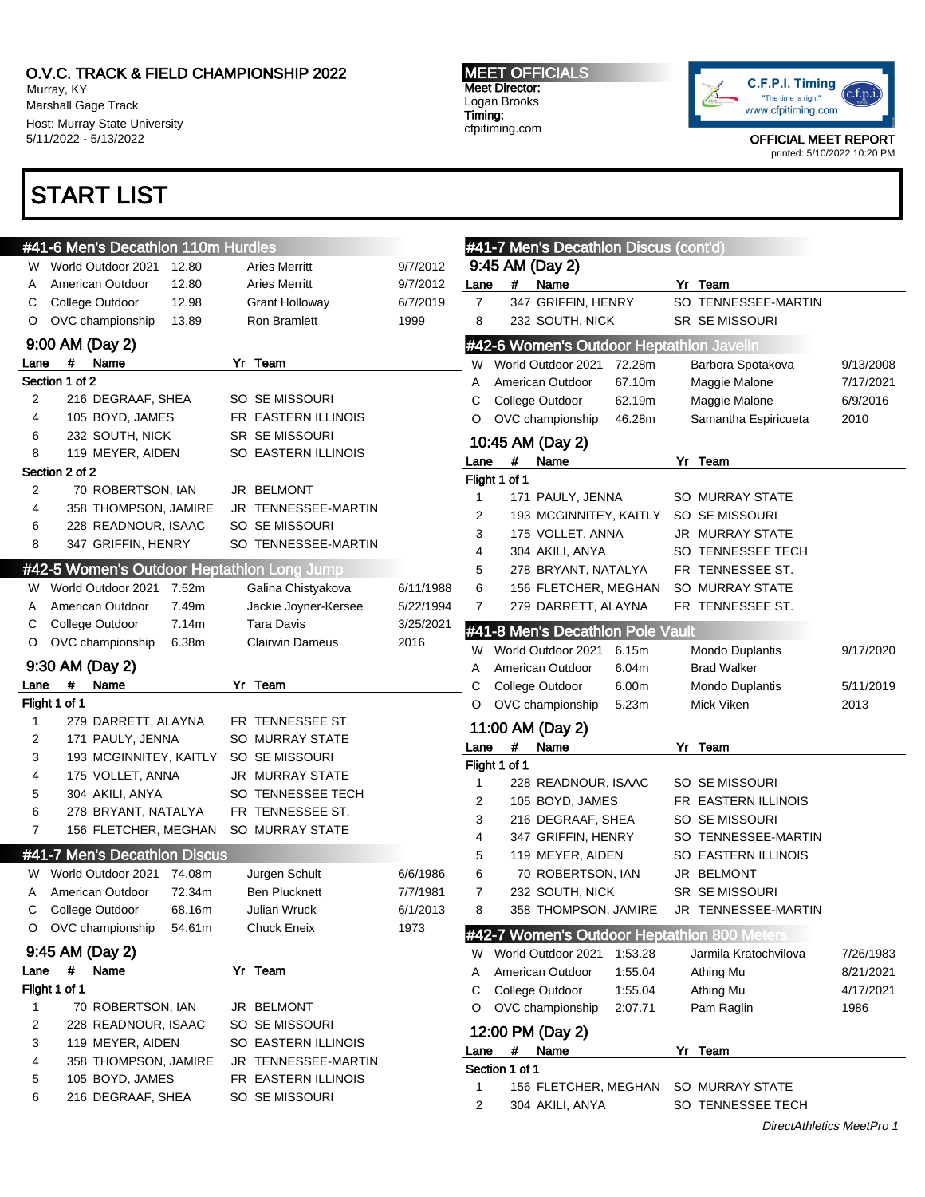Murray, KY Marshall Gage Track Host: Murray State University 5/11/2022 - 5/13/2022

## START LIST

MEET OFFICIALS Meet Director: Logan Brooks Timing: cfpitiming.com



|              | #41-6 Men's Decathlon 110m Hurdles |        |                                            |           |                |                | #41-7 Men's Decathlon Discus (cont'd)    |         |                                             |                           |
|--------------|------------------------------------|--------|--------------------------------------------|-----------|----------------|----------------|------------------------------------------|---------|---------------------------------------------|---------------------------|
|              | W World Outdoor 2021               | 12.80  | <b>Aries Merritt</b>                       | 9/7/2012  |                |                | 9:45 AM (Day 2)                          |         |                                             |                           |
| A            | American Outdoor                   | 12.80  | <b>Aries Merritt</b>                       | 9/7/2012  | Lane           | #              | Name                                     |         | Yr Team                                     |                           |
| С            | College Outdoor                    | 12.98  | Grant Holloway                             | 6/7/2019  | 7              |                | 347 GRIFFIN, HENRY                       |         | SO TENNESSEE-MARTIN                         |                           |
| O            | OVC championship                   | 13.89  | Ron Bramlett                               | 1999      | 8              |                | 232 SOUTH, NICK                          |         | SR SE MISSOURI                              |                           |
|              | 9:00 AM (Day 2)                    |        |                                            |           |                |                | #42-6 Women's Outdoor Heptathlon Javelin |         |                                             |                           |
| Lane         | #<br>Name                          |        | Yr Team                                    |           | W              |                | World Outdoor 2021                       | 72.28m  | Barbora Spotakova                           | 9/13/2008                 |
|              | Section 1 of 2                     |        |                                            |           | Α              |                | American Outdoor                         | 67.10m  | Maggie Malone                               | 7/17/2021                 |
| 2            | 216 DEGRAAF, SHEA                  |        | SO SE MISSOURI                             |           | С              |                | College Outdoor                          | 62.19m  | Maggie Malone                               | 6/9/2016                  |
| 4            | 105 BOYD, JAMES                    |        | FR EASTERN ILLINOIS                        |           | O              |                | OVC championship                         | 46.28m  | Samantha Espiricueta                        | 2010                      |
| 6            | 232 SOUTH, NICK                    |        | SR SE MISSOURI                             |           |                |                | 10:45 AM (Day 2)                         |         |                                             |                           |
| 8            | 119 MEYER, AIDEN                   |        | SO EASTERN ILLINOIS                        |           | Lane           | #              | Name                                     |         | Yr Team                                     |                           |
|              | Section 2 of 2                     |        |                                            |           |                | Flight 1 of 1  |                                          |         |                                             |                           |
| 2            | 70 ROBERTSON, IAN                  |        | JR BELMONT                                 |           | 1              |                | 171 PAULY, JENNA                         |         | SO MURRAY STATE                             |                           |
| 4            | 358 THOMPSON, JAMIRE               |        | JR TENNESSEE-MARTIN                        |           | 2              |                | 193 MCGINNITEY, KAITLY                   |         | SO SE MISSOURI                              |                           |
| 6            | 228 READNOUR, ISAAC                |        | SO SE MISSOURI                             |           | 3              |                | 175 VOLLET, ANNA                         |         | JR MURRAY STATE                             |                           |
| 8            | 347 GRIFFIN, HENRY                 |        | SO TENNESSEE-MARTIN                        |           | $\overline{4}$ |                | 304 AKILI, ANYA                          |         | SO TENNESSEE TECH                           |                           |
|              |                                    |        | #42-5 Women's Outdoor Heptathlon Long Jump |           | 5              |                | 278 BRYANT, NATALYA                      |         | FR TENNESSEE ST.                            |                           |
| W            | World Outdoor 2021 7.52m           |        | Galina Chistyakova                         | 6/11/1988 | 6              |                | 156 FLETCHER, MEGHAN                     |         | SO MURRAY STATE                             |                           |
| A            | American Outdoor                   | 7.49m  | Jackie Joyner-Kersee                       | 5/22/1994 | 7              |                | 279 DARRETT, ALAYNA                      |         | FR TENNESSEE ST.                            |                           |
| С            | College Outdoor                    | 7.14m  | <b>Tara Davis</b>                          | 3/25/2021 |                |                | #41-8 Men's Decathlon Pole Vault         |         |                                             |                           |
| O            | OVC championship                   | 6.38m  | <b>Clairwin Dameus</b>                     | 2016      | W              |                | World Outdoor 2021                       | 6.15m   | Mondo Duplantis                             | 9/17/2020                 |
|              | 9:30 AM (Day 2)                    |        |                                            |           | Α              |                | American Outdoor                         | 6.04m   | <b>Brad Walker</b>                          |                           |
| Lane         | #<br>Name                          |        | Yr Team                                    |           | С              |                | College Outdoor                          | 6.00m   | Mondo Duplantis                             | 5/11/2019                 |
|              | Flight 1 of 1                      |        |                                            |           | O              |                | OVC championship                         | 5.23m   | Mick Viken                                  | 2013                      |
| 1            | 279 DARRETT, ALAYNA                |        | FR TENNESSEE ST.                           |           |                |                | 11:00 AM (Day 2)                         |         |                                             |                           |
| 2            | 171 PAULY, JENNA                   |        | SO MURRAY STATE                            |           | Lane           | #              | Name                                     |         | Yr Team                                     |                           |
| 3            | 193 MCGINNITEY, KAITLY             |        | SO SE MISSOURI                             |           |                | Flight 1 of 1  |                                          |         |                                             |                           |
| 4            | 175 VOLLET, ANNA                   |        | JR MURRAY STATE                            |           | 1              |                | 228 READNOUR, ISAAC                      |         | SO SE MISSOURI                              |                           |
| 5            | 304 AKILI, ANYA                    |        | SO TENNESSEE TECH                          |           | 2              |                | 105 BOYD, JAMES                          |         | FR EASTERN ILLINOIS                         |                           |
| 6            | 278 BRYANT, NATALYA                |        | FR TENNESSEE ST.                           |           | 3              |                | 216 DEGRAAF, SHEA                        |         | SO SE MISSOURI                              |                           |
| 7            | 156 FLETCHER, MEGHAN               |        | SO MURRAY STATE                            |           | 4              |                | 347 GRIFFIN, HENRY                       |         | SO TENNESSEE-MARTIN                         |                           |
|              | #41-7 Men's Decathlon Discus       |        |                                            |           | 5              |                | 119 MEYER, AIDEN                         |         | SO EASTERN ILLINOIS                         |                           |
| W            | World Outdoor 2021                 | 74.08m | Jurgen Schult                              | 6/6/1986  | 6              |                | 70 ROBERTSON, IAN                        |         | JR BELMONT                                  |                           |
| Α            | American Outdoor                   | 72.34m | <b>Ben Plucknett</b>                       | 7/7/1981  | 7              |                | 232 SOUTH, NICK                          |         | SR SE MISSOURI                              |                           |
| С            | College Outdoor                    | 68.16m | Julian Wruck                               | 6/1/2013  | 8              |                | 358 THOMPSON, JAMIRE                     |         | JR TENNESSEE-MARTIN                         |                           |
|              | O OVC championship                 | 54.61m | <b>Chuck Eneix</b>                         | 1973      |                |                |                                          |         | #42-7 Women's Outdoor Heptathlon 800 Meters |                           |
|              | 9:45 AM (Day 2)                    |        |                                            |           | W              |                | World Outdoor 2021                       | 1:53.28 | Jarmila Kratochvilova                       | 7/26/1983                 |
| Lane         | #<br>Name                          |        | Yr Team                                    |           | Α              |                | American Outdoor                         | 1:55.04 | Athing Mu                                   | 8/21/2021                 |
|              | Flight 1 of 1                      |        |                                            |           | С              |                | College Outdoor                          | 1:55.04 | Athing Mu                                   | 4/17/2021                 |
| $\mathbf{1}$ | 70 ROBERTSON, IAN                  |        | JR BELMONT                                 |           | O              |                | OVC championship                         | 2:07.71 | Pam Raglin                                  | 1986                      |
| 2            | 228 READNOUR, ISAAC                |        | SO SE MISSOURI                             |           |                |                | 12:00 PM (Day 2)                         |         |                                             |                           |
| 3            | 119 MEYER, AIDEN                   |        | SO EASTERN ILLINOIS                        |           | Lane           | #              | Name                                     |         | Yr Team                                     |                           |
| 4            | 358 THOMPSON, JAMIRE               |        | JR TENNESSEE-MARTIN                        |           |                | Section 1 of 1 |                                          |         |                                             |                           |
| 5            | 105 BOYD, JAMES                    |        | FR EASTERN ILLINOIS                        |           | 1              |                | 156 FLETCHER, MEGHAN                     |         | SO MURRAY STATE                             |                           |
| 6            | 216 DEGRAAF, SHEA                  |        | SO SE MISSOURI                             |           | 2              |                | 304 AKILI, ANYA                          |         | SO TENNESSEE TECH                           |                           |
|              |                                    |        |                                            |           |                |                |                                          |         |                                             | DirectAthletics MeetPro 1 |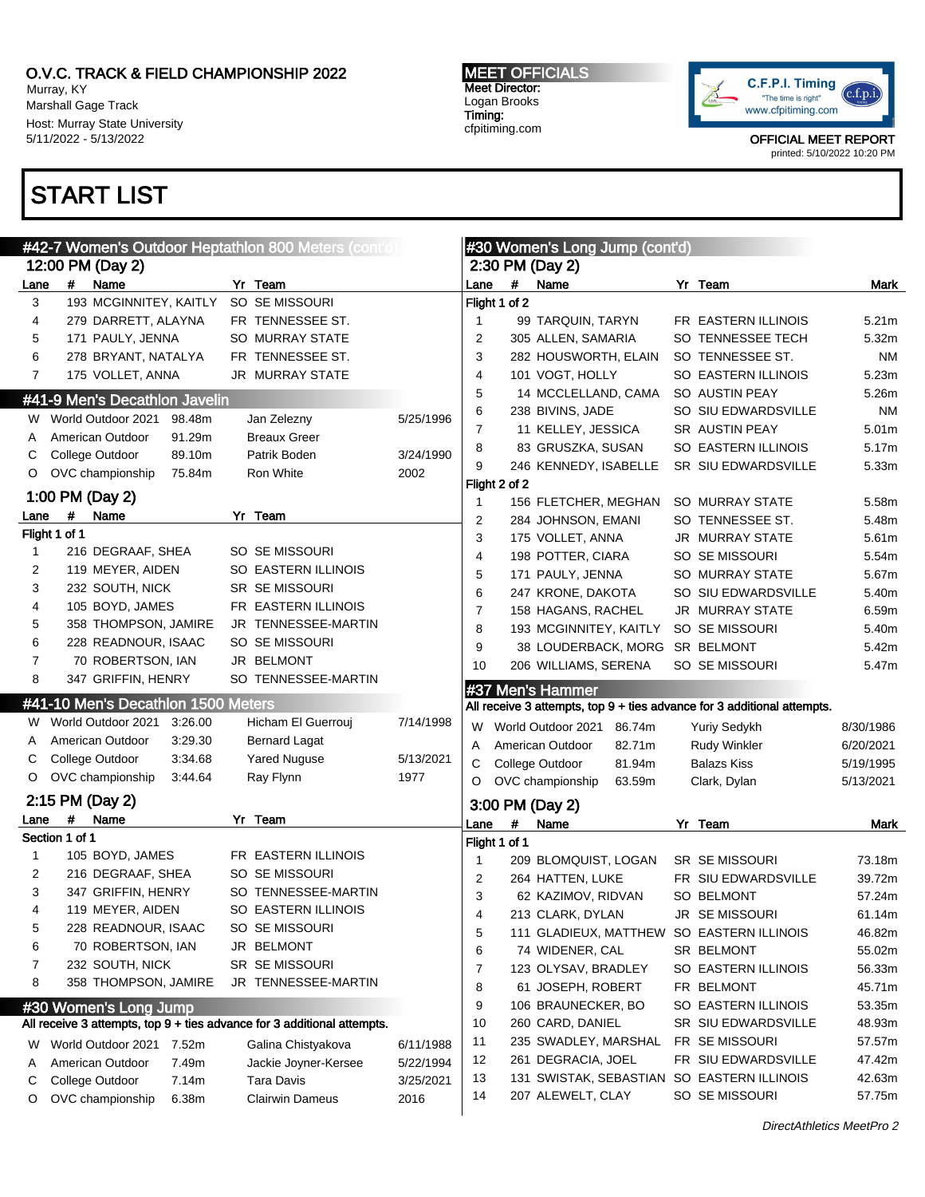Murray, KY Marshall Gage Track Host: Murray State University 5/11/2022 - 5/13/2022

## START LIST

MEET OFFICIALS Meet Director: Logan Brooks Timing: cfpitiming.com



| #42-7 Women's Outdoor Heptathlon 800 Meters (cont'd) |                                                                                                  |                                             |                   |                |                                                                         | #30 Women's Long Jump (cont'd) |        |  |                                                              |                   |  |  |  |
|------------------------------------------------------|--------------------------------------------------------------------------------------------------|---------------------------------------------|-------------------|----------------|-------------------------------------------------------------------------|--------------------------------|--------|--|--------------------------------------------------------------|-------------------|--|--|--|
|                                                      | 12:00 PM (Day 2)                                                                                 |                                             |                   |                |                                                                         | 2:30 PM (Day 2)                |        |  |                                                              |                   |  |  |  |
| Lane                                                 | #<br>Name                                                                                        | Yr Team                                     |                   | Lane           | #                                                                       | Name                           |        |  | Yr Team                                                      | Mark              |  |  |  |
| 3                                                    | 193 MCGINNITEY, KAITLY                                                                           | SO SE MISSOURI                              |                   |                | Flight 1 of 2                                                           |                                |        |  |                                                              |                   |  |  |  |
| 4                                                    | 279 DARRETT, ALAYNA                                                                              | FR TENNESSEE ST.                            |                   | -1             |                                                                         | 99 TARQUIN, TARYN              |        |  | FR EASTERN ILLINOIS                                          | 5.21 <sub>m</sub> |  |  |  |
| 5                                                    | 171 PAULY, JENNA                                                                                 | SO MURRAY STATE                             |                   | $\overline{2}$ |                                                                         | 305 ALLEN, SAMARIA             |        |  | SO TENNESSEE TECH                                            | 5.32m             |  |  |  |
| 6                                                    | 278 BRYANT, NATALYA                                                                              | FR TENNESSEE ST.                            |                   | 3              |                                                                         | 282 HOUSWORTH, ELAIN           |        |  | SO TENNESSEE ST.                                             | NM                |  |  |  |
| $\overline{7}$                                       | 175 VOLLET, ANNA                                                                                 | JR MURRAY STATE                             |                   | 4              |                                                                         | 101 VOGT, HOLLY                |        |  | SO EASTERN ILLINOIS                                          | 5.23m             |  |  |  |
|                                                      | #41-9 Men's Decathlon Javelin                                                                    |                                             |                   | 5              |                                                                         | 14 MCCLELLAND, CAMA            |        |  | SO AUSTIN PEAY                                               | 5.26m             |  |  |  |
| w                                                    | World Outdoor 2021<br>98.48m                                                                     | Jan Zelezny                                 | 5/25/1996         | 6              |                                                                         | 238 BIVINS, JADE               |        |  | SO SIU EDWARDSVILLE                                          | ΝM                |  |  |  |
| A                                                    | American Outdoor<br>91.29m                                                                       | <b>Breaux Greer</b>                         |                   | 7              |                                                                         | 11 KELLEY, JESSICA             |        |  | <b>SR AUSTIN PEAY</b>                                        | 5.01m             |  |  |  |
| С                                                    | College Outdoor<br>89.10m                                                                        | Patrik Boden                                | 3/24/1990         | 8              |                                                                         | 83 GRUSZKA, SUSAN              |        |  | SO EASTERN ILLINOIS                                          | 5.17m             |  |  |  |
| O                                                    | OVC championship<br>75.84m                                                                       | Ron White                                   | 2002              | 9              |                                                                         | 246 KENNEDY, ISABELLE          |        |  | SR SIU EDWARDSVILLE                                          | 5.33m             |  |  |  |
|                                                      |                                                                                                  |                                             |                   |                | Flight 2 of 2                                                           |                                |        |  |                                                              |                   |  |  |  |
|                                                      | 1:00 PM (Day 2)                                                                                  |                                             |                   | -1             |                                                                         | 156 FLETCHER, MEGHAN           |        |  | SO MURRAY STATE                                              | 5.58m             |  |  |  |
| Lane                                                 | #<br>Name                                                                                        | Yr Team                                     |                   | $\overline{2}$ |                                                                         | 284 JOHNSON, EMANI             |        |  | SO TENNESSEE ST.                                             | 5.48m             |  |  |  |
|                                                      | Flight 1 of 1                                                                                    |                                             |                   | 3              |                                                                         | 175 VOLLET, ANNA               |        |  | JR MURRAY STATE                                              | 5.61m             |  |  |  |
| 1                                                    | 216 DEGRAAF, SHEA                                                                                | <b>SO SE MISSOURI</b>                       |                   | 4              |                                                                         | 198 POTTER, CIARA              |        |  | SO SE MISSOURI                                               | 5.54m             |  |  |  |
| 2                                                    | 119 MEYER, AIDEN                                                                                 | SO EASTERN ILLINOIS                         |                   | 5              |                                                                         | 171 PAULY, JENNA               |        |  | SO MURRAY STATE                                              | 5.67m             |  |  |  |
| 3                                                    | 232 SOUTH, NICK                                                                                  | <b>SR SE MISSOURI</b>                       |                   | 6              |                                                                         | 247 KRONE, DAKOTA              |        |  | SO SIU EDWARDSVILLE                                          | 5.40m             |  |  |  |
| 4                                                    | 105 BOYD, JAMES                                                                                  | FR EASTERN ILLINOIS                         |                   | $\overline{7}$ |                                                                         | 158 HAGANS, RACHEL             |        |  | <b>JR MURRAY STATE</b>                                       | 6.59m             |  |  |  |
| 5                                                    | 358 THOMPSON, JAMIRE                                                                             | JR TENNESSEE-MARTIN                         |                   | 8              |                                                                         | 193 MCGINNITEY, KAITLY         |        |  | SO SE MISSOURI                                               | 5.40m             |  |  |  |
| 6                                                    | 228 READNOUR, ISAAC                                                                              | SO SE MISSOURI                              |                   | 9              |                                                                         | 38 LOUDERBACK, MORG SR BELMONT |        |  |                                                              | 5.42m             |  |  |  |
| 7                                                    | 70 ROBERTSON, IAN                                                                                | JR BELMONT                                  |                   | 10             |                                                                         | 206 WILLIAMS, SERENA           |        |  | SO SE MISSOURI                                               | 5.47m             |  |  |  |
| 8                                                    | 347 GRIFFIN, HENRY                                                                               | SO TENNESSEE-MARTIN                         |                   |                |                                                                         | #37 Men's Hammer               |        |  |                                                              |                   |  |  |  |
|                                                      | #41-10 Men's Decathlon 1500 Meters                                                               |                                             |                   |                | All receive 3 attempts, top 9 + ties advance for 3 additional attempts. |                                |        |  |                                                              |                   |  |  |  |
| W.                                                   | World Outdoor 2021<br>3:26.00                                                                    | Hicham El Guerrouj                          | 7/14/1998         | W              |                                                                         | World Outdoor 2021             | 86.74m |  | <b>Yuriy Sedykh</b>                                          | 8/30/1986         |  |  |  |
| Α                                                    | 3:29.30<br>American Outdoor                                                                      | <b>Bernard Lagat</b>                        |                   | A              |                                                                         | American Outdoor               | 82.71m |  | <b>Rudy Winkler</b>                                          | 6/20/2021         |  |  |  |
| С                                                    | College Outdoor<br>3:34.68                                                                       | <b>Yared Nuguse</b>                         | 5/13/2021         | С              |                                                                         | College Outdoor                | 81.94m |  | Balazs Kiss                                                  | 5/19/1995         |  |  |  |
| O                                                    | OVC championship<br>3:44.64                                                                      | Ray Flynn                                   | 1977              | O              |                                                                         | OVC championship               | 63.59m |  | Clark, Dylan                                                 | 5/13/2021         |  |  |  |
|                                                      | 2:15 PM (Day 2)                                                                                  |                                             |                   |                |                                                                         | 3:00 PM (Day 2)                |        |  |                                                              |                   |  |  |  |
| Lane                                                 | #<br>Name                                                                                        | Yr Team                                     |                   | Lane           | #                                                                       | Name                           |        |  | Yr Team                                                      | Mark              |  |  |  |
|                                                      | Section 1 of 1                                                                                   |                                             |                   | Flight 1 of 1  |                                                                         |                                |        |  |                                                              |                   |  |  |  |
| 1                                                    | 105 BOYD, JAMES                                                                                  | FR EASTERN ILLINOIS                         |                   | 1              |                                                                         | 209 BLOMQUIST, LOGAN           |        |  | <b>SR SE MISSOURI</b>                                        | 73.18m            |  |  |  |
| 2                                                    | 216 DEGRAAF, SHEA                                                                                | <b>SO SE MISSOURI</b>                       |                   | $\overline{2}$ |                                                                         | 264 HATTEN, LUKE               |        |  | FR SIU EDWARDSVILLE                                          | 39.72m            |  |  |  |
| 3                                                    | 347 GRIFFIN, HENRY                                                                               | SO TENNESSEE-MARTIN                         |                   | 3              |                                                                         | 62 KAZIMOV, RIDVAN             |        |  | SO BELMONT                                                   | 57.24m            |  |  |  |
| 4                                                    | 119 MEYER, AIDEN                                                                                 | SO EASTERN ILLINOIS                         |                   | 4              |                                                                         | 213 CLARK, DYLAN               |        |  | JR SE MISSOURI                                               | 61.14m            |  |  |  |
| 5                                                    | 228 READNOUR, ISAAC                                                                              | SO SE MISSOURI                              |                   | 5              |                                                                         |                                |        |  | 111 GLADIEUX, MATTHEW SO EASTERN ILLINOIS                    | 46.82m            |  |  |  |
| 6                                                    | 70 ROBERTSON, IAN                                                                                | JR BELMONT                                  |                   | 6              |                                                                         | 74 WIDENER, CAL                |        |  | SR BELMONT                                                   | 55.02m            |  |  |  |
| 7                                                    | 232 SOUTH, NICK                                                                                  | SR SE MISSOURI                              |                   | 7              |                                                                         | 123 OLYSAV, BRADLEY            |        |  | SO EASTERN ILLINOIS                                          | 56.33m            |  |  |  |
| 8                                                    | 358 THOMPSON, JAMIRE                                                                             | JR TENNESSEE-MARTIN                         |                   | 8              |                                                                         | 61 JOSEPH, ROBERT              |        |  | FR BELMONT                                                   | 45.71m            |  |  |  |
|                                                      |                                                                                                  |                                             |                   | 9              |                                                                         | 106 BRAUNECKER, BO             |        |  | SO EASTERN ILLINOIS                                          | 53.35m            |  |  |  |
|                                                      | #30 Women's Long Jump<br>All receive 3 attempts, top 9 + ties advance for 3 additional attempts. |                                             |                   | 10             |                                                                         | 260 CARD, DANIEL               |        |  | SR SIU EDWARDSVILLE                                          | 48.93m            |  |  |  |
|                                                      |                                                                                                  |                                             |                   | 11             |                                                                         | 235 SWADLEY, MARSHAL           |        |  | FR SE MISSOURI                                               | 57.57m            |  |  |  |
| w                                                    | World Outdoor 2021 7.52m                                                                         | Galina Chistyakova                          | 6/11/1988         | 12             |                                                                         | 261 DEGRACIA, JOEL             |        |  | FR SIU EDWARDSVILLE                                          | 47.42m            |  |  |  |
|                                                      | 7.49m<br>American Outdoor                                                                        | Jackie Joyner-Kersee                        | 5/22/1994         |                |                                                                         |                                |        |  |                                                              |                   |  |  |  |
| Α                                                    |                                                                                                  |                                             |                   |                |                                                                         |                                |        |  |                                                              |                   |  |  |  |
| С<br>O                                               | College Outdoor<br>7.14m<br>OVC championship<br>6.38m                                            | <b>Tara Davis</b><br><b>Clairwin Dameus</b> | 3/25/2021<br>2016 | 13<br>14       |                                                                         | 207 ALEWELT, CLAY              |        |  | 131 SWISTAK, SEBASTIAN SO EASTERN ILLINOIS<br>SO SE MISSOURI | 42.63m<br>57.75m  |  |  |  |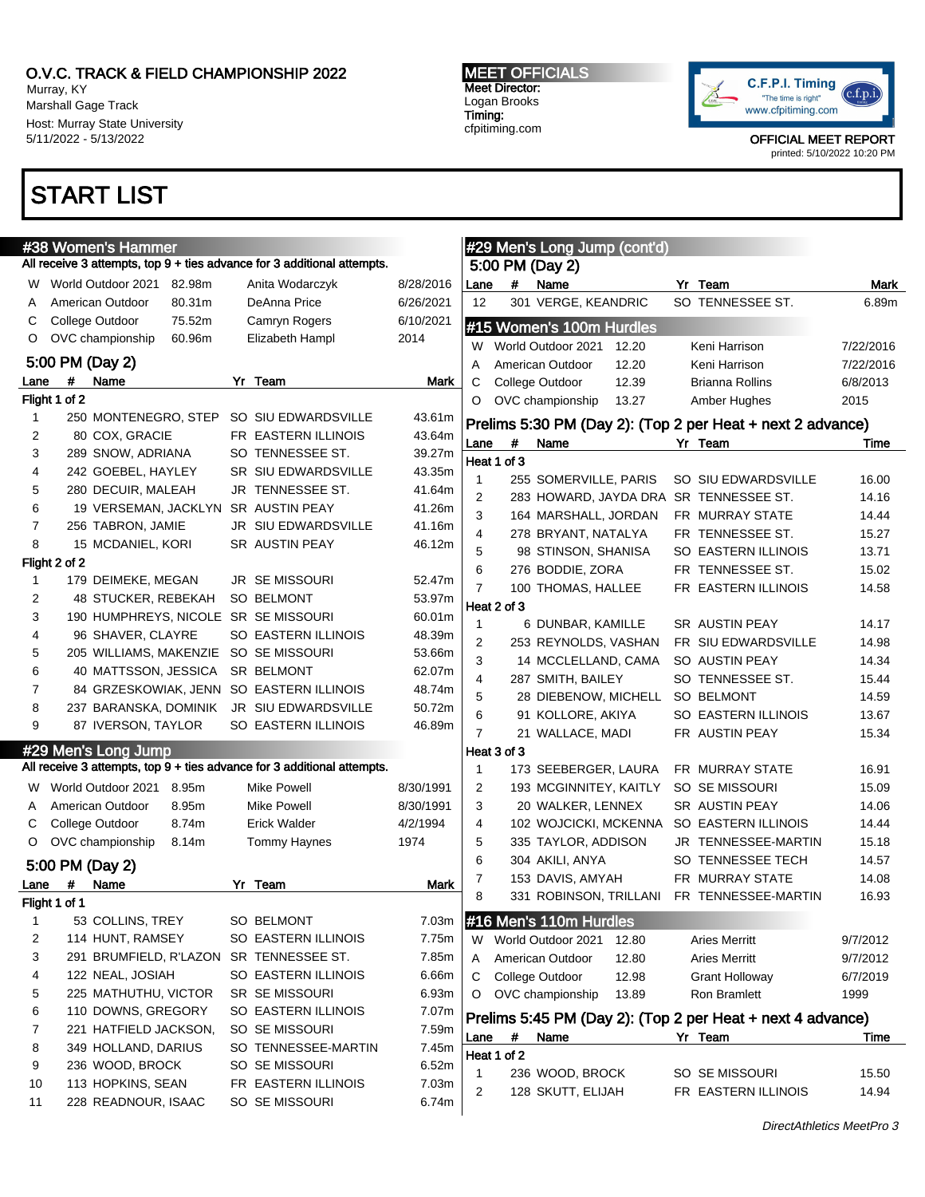Murray, KY Marshall Gage Track Host: Murray State University 5/11/2022 - 5/13/2022

### START LIST

#### MEET OFFICIALS Meet Director: Logan Brooks Timing: cfpitiming.com



OFFICIAL MEET REPORT

printed: 5/10/2022 10:20 PM

| #38 Women's Hammer |               |                       |        |  |                                                                         |           | #29 Men's Long Jump (cont'd) |             |                          |       |                                                            |                  |
|--------------------|---------------|-----------------------|--------|--|-------------------------------------------------------------------------|-----------|------------------------------|-------------|--------------------------|-------|------------------------------------------------------------|------------------|
|                    |               |                       |        |  | All receive 3 attempts, top 9 + ties advance for 3 additional attempts. |           |                              |             | 5:00 PM (Day 2)          |       |                                                            |                  |
| W                  |               | World Outdoor 2021    | 82.98m |  | Anita Wodarczyk                                                         | 8/28/2016 | Lane                         | #           | Name                     |       | Yr Team                                                    | Mark             |
| A                  |               | American Outdoor      | 80.31m |  | DeAnna Price                                                            | 6/26/2021 | 12                           |             | 301 VERGE, KEANDRIC      |       | SO TENNESSEE ST.                                           | 6.89m            |
| С                  |               | College Outdoor       | 75.52m |  | Camryn Rogers                                                           | 6/10/2021 |                              |             | #15 Women's 100m Hurdles |       |                                                            |                  |
| O                  |               | OVC championship      | 60.96m |  | Elizabeth Hampl                                                         | 2014      |                              |             | World Outdoor 2021       |       |                                                            |                  |
|                    |               | 5:00 PM (Day 2)       |        |  |                                                                         |           | W                            |             |                          | 12.20 | Keni Harrison                                              | 7/22/2016        |
| Lane               | #             | Name                  |        |  | Yr Team                                                                 | Mark      | Α                            |             | American Outdoor         | 12.20 | Keni Harrison                                              | 7/22/2016        |
|                    | Flight 1 of 2 |                       |        |  |                                                                         |           | С<br>O                       |             | College Outdoor          | 12.39 | <b>Brianna Rollins</b>                                     | 6/8/2013<br>2015 |
| 1                  |               | 250 MONTENEGRO, STEP  |        |  | SO SIU EDWARDSVILLE                                                     | 43.61m    |                              |             | OVC championship         | 13.27 | Amber Hughes                                               |                  |
| 2                  |               | 80 COX, GRACIE        |        |  | FR EASTERN ILLINOIS                                                     | 43.64m    |                              |             |                          |       | Prelims 5:30 PM (Day 2): (Top 2 per Heat + next 2 advance) |                  |
| 3                  |               | 289 SNOW, ADRIANA     |        |  | SO TENNESSEE ST.                                                        | 39.27m    | Lane                         | #           | Name                     |       | Yr Team                                                    | Time             |
| 4                  |               | 242 GOEBEL, HAYLEY    |        |  | SR SIU EDWARDSVILLE                                                     | 43.35m    |                              | Heat 1 of 3 |                          |       |                                                            |                  |
| 5                  |               | 280 DECUIR, MALEAH    |        |  | JR TENNESSEE ST.                                                        | 41.64m    | 1                            |             | 255 SOMERVILLE, PARIS    |       | SO SIU EDWARDSVILLE                                        | 16.00            |
|                    |               |                       |        |  |                                                                         |           | $\overline{2}$               |             |                          |       | 283 HOWARD, JAYDA DRA SR TENNESSEE ST.                     | 14.16            |
| 6                  |               | 19 VERSEMAN, JACKLYN  |        |  | SR AUSTIN PEAY                                                          | 41.26m    | 3                            |             | 164 MARSHALL, JORDAN     |       | FR MURRAY STATE                                            | 14.44            |
| 7                  |               | 256 TABRON, JAMIE     |        |  | JR SIU EDWARDSVILLE                                                     | 41.16m    | 4                            |             | 278 BRYANT, NATALYA      |       | FR TENNESSEE ST.                                           | 15.27            |
| 8                  |               | 15 MCDANIEL, KORI     |        |  | SR AUSTIN PEAY                                                          | 46.12m    | 5                            |             | 98 STINSON, SHANISA      |       | SO EASTERN ILLINOIS                                        | 13.71            |
|                    | Flight 2 of 2 |                       |        |  |                                                                         |           | 6                            |             | 276 BODDIE, ZORA         |       | FR TENNESSEE ST.                                           | 15.02            |
| 1                  |               | 179 DEIMEKE, MEGAN    |        |  | <b>JR SE MISSOURI</b>                                                   | 52.47m    | $\overline{7}$               |             | 100 THOMAS, HALLEE       |       | FR EASTERN ILLINOIS                                        | 14.58            |
| 2                  |               | 48 STUCKER, REBEKAH   |        |  | <b>SO BELMONT</b>                                                       | 53.97m    |                              | Heat 2 of 3 |                          |       |                                                            |                  |
| 3                  |               |                       |        |  | 190 HUMPHREYS, NICOLE SR SE MISSOURI                                    | 60.01m    | 1                            |             | 6 DUNBAR, KAMILLE        |       | SR AUSTIN PEAY                                             | 14.17            |
| 4                  |               | 96 SHAVER, CLAYRE     |        |  | <b>SO EASTERN ILLINOIS</b>                                              | 48.39m    | 2                            |             | 253 REYNOLDS, VASHAN     |       | FR SIU EDWARDSVILLE                                        | 14.98            |
| 5                  |               |                       |        |  | 205 WILLIAMS, MAKENZIE SO SE MISSOURI                                   | 53.66m    | 3                            |             | 14 MCCLELLAND, CAMA      |       | SO AUSTIN PEAY                                             | 14.34            |
| 6                  |               | 40 MATTSSON, JESSICA  |        |  | SR BELMONT                                                              | 62.07m    | 4                            |             | 287 SMITH, BAILEY        |       | SO TENNESSEE ST.                                           | 15.44            |
| 7                  |               |                       |        |  | 84 GRZESKOWIAK, JENN SO EASTERN ILLINOIS                                | 48.74m    | 5                            |             | 28 DIEBENOW, MICHELL     |       | <b>SO BELMONT</b>                                          | 14.59            |
| 8                  |               | 237 BARANSKA, DOMINIK |        |  | JR SIU EDWARDSVILLE                                                     | 50.72m    | 6                            |             | 91 KOLLORE, AKIYA        |       | SO EASTERN ILLINOIS                                        | 13.67            |
| 9                  |               | 87 IVERSON, TAYLOR    |        |  | SO EASTERN ILLINOIS                                                     | 46.89m    | $\overline{7}$               |             | 21 WALLACE, MADI         |       | FR AUSTIN PEAY                                             | 15.34            |
|                    |               | #29 Men's Long Jump   |        |  |                                                                         |           |                              | Heat 3 of 3 |                          |       |                                                            |                  |
|                    |               |                       |        |  | All receive 3 attempts, top 9 + ties advance for 3 additional attempts. |           | 1                            |             |                          |       | FR MURRAY STATE                                            | 16.91            |
|                    |               |                       |        |  |                                                                         |           |                              |             | 173 SEEBERGER, LAURA     |       |                                                            |                  |
| W                  |               | World Outdoor 2021    | 8.95m  |  | Mike Powell                                                             | 8/30/1991 | 2                            |             | 193 MCGINNITEY, KAITLY   |       | SO SE MISSOURI                                             | 15.09            |
| A                  |               | American Outdoor      | 8.95m  |  | Mike Powell                                                             | 8/30/1991 | 3                            |             | 20 WALKER, LENNEX        |       | SR AUSTIN PEAY                                             | 14.06            |
| С                  |               | College Outdoor       | 8.74m  |  | Erick Walder                                                            | 4/2/1994  | 4                            |             | 102 WOJCICKI, MCKENNA    |       | SO EASTERN ILLINOIS                                        | 14.44            |
| O                  |               | OVC championship      | 8.14m  |  | Tommy Haynes                                                            | 1974      | 5                            |             | 335 TAYLOR, ADDISON      |       | JR TENNESSEE-MARTIN                                        | 15.18            |
|                    |               | 5:00 PM (Day 2)       |        |  |                                                                         |           | 6                            |             | 304 AKILI, ANYA          |       | SO TENNESSEE TECH                                          | 14.57            |
| Lane               | #             | Name                  |        |  | Yr Team                                                                 | Mark      | $\overline{7}$               |             | 153 DAVIS, AMYAH         |       | FR MURRAY STATE                                            | 14.08            |
|                    | Flight 1 of 1 |                       |        |  |                                                                         |           | 8                            |             | 331 ROBINSON, TRILLANI   |       | FR TENNESSEE-MARTIN                                        | 16.93            |
| 1                  |               | 53 COLLINS, TREY      |        |  | SO BELMONT                                                              | 7.03m     |                              |             | #16 Men's 110m Hurdles   |       |                                                            |                  |
| 2                  |               | 114 HUNT, RAMSEY      |        |  | SO EASTERN ILLINOIS                                                     | 7.75m     | W                            |             | World Outdoor 2021       | 12.80 | <b>Aries Merritt</b>                                       | 9/7/2012         |
| 3                  |               |                       |        |  | 291 BRUMFIELD, R'LAZON SR TENNESSEE ST.                                 | 7.85m     | Α                            |             | American Outdoor         | 12.80 | <b>Aries Merritt</b>                                       | 9/7/2012         |
| 4                  |               | 122 NEAL, JOSIAH      |        |  | SO EASTERN ILLINOIS                                                     | 6.66m     | С                            |             | College Outdoor          | 12.98 | Grant Holloway                                             | 6/7/2019         |
| 5                  |               | 225 MATHUTHU, VICTOR  |        |  | <b>SR SE MISSOURI</b>                                                   | 6.93m     | O                            |             | OVC championship         | 13.89 | Ron Bramlett                                               | 1999             |
| 6                  |               | 110 DOWNS, GREGORY    |        |  | SO EASTERN ILLINOIS                                                     | 7.07m     |                              |             |                          |       |                                                            |                  |
| 7                  |               | 221 HATFIELD JACKSON, |        |  | SO SE MISSOURI                                                          | 7.59m     |                              |             |                          |       | Prelims 5:45 PM (Day 2): (Top 2 per Heat + next 4 advance) |                  |
| 8                  |               | 349 HOLLAND, DARIUS   |        |  | SO TENNESSEE-MARTIN                                                     | 7.45m     | Lane                         | #           | Name                     |       | Yr Team                                                    | Time             |
| 9                  |               | 236 WOOD, BROCK       |        |  | SO SE MISSOURI                                                          | 6.52m     |                              | Heat 1 of 2 |                          |       |                                                            |                  |
|                    |               | 113 HOPKINS, SEAN     |        |  | FR EASTERN ILLINOIS                                                     | 7.03m     | 1                            |             | 236 WOOD, BROCK          |       | SO SE MISSOURI                                             | 15.50            |
| 10                 |               |                       |        |  |                                                                         |           | 2                            |             | 128 SKUTT, ELIJAH        |       | FR EASTERN ILLINOIS                                        | 14.94            |
| 11                 |               | 228 READNOUR, ISAAC   |        |  | SO SE MISSOURI                                                          | 6.74m     |                              |             |                          |       |                                                            |                  |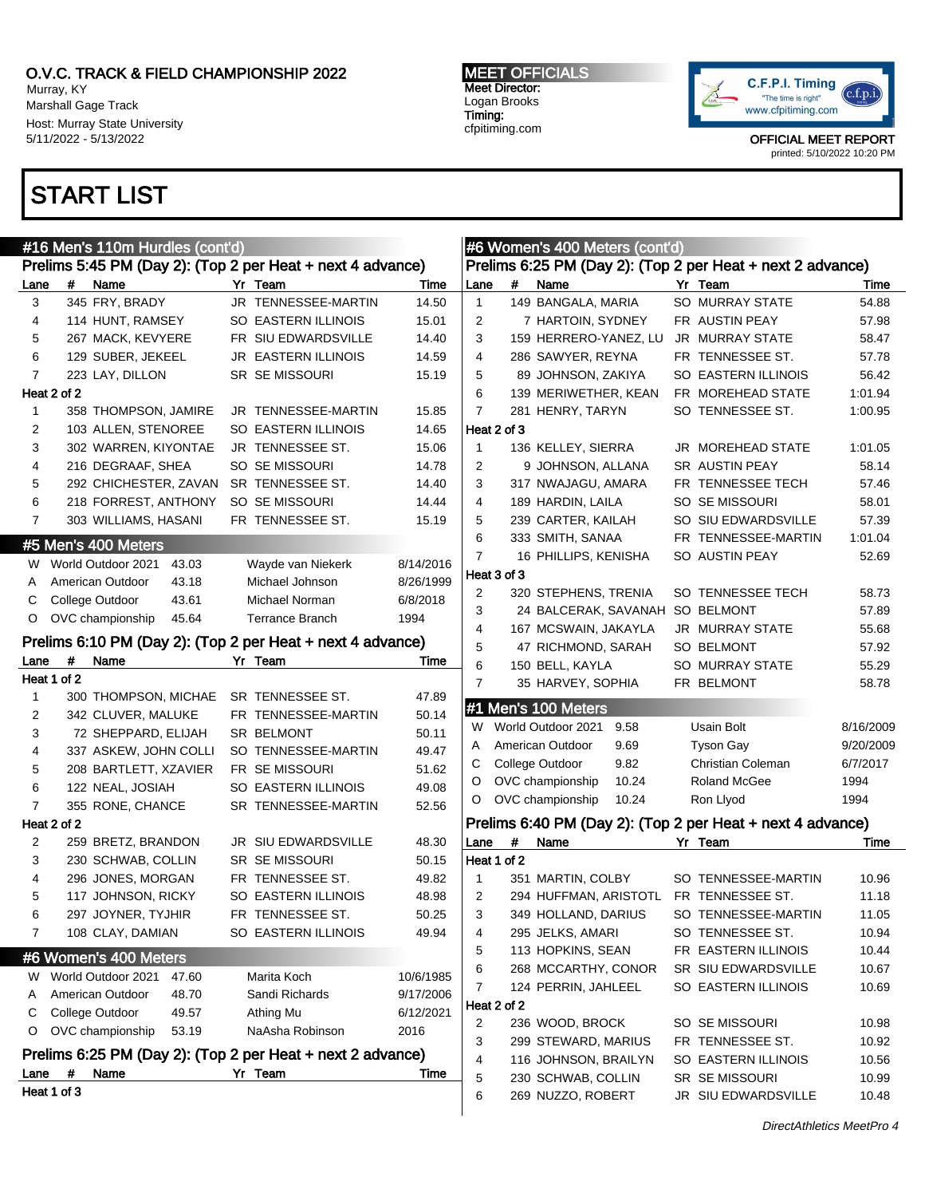Murray, KY Marshall Gage Track Host: Murray State University 5/11/2022 - 5/13/2022

# START LIST

MEET OFFICIALS Meet Director: Logan Brooks Timing: cfpitiming.com



| #16 Men's 110m Hurdles (cont'd)                            |             |                                           |  |                                                            |                |                                                            | #6 Women's 400 Meters (cont'd)                             |                                 |       |  |                        |           |  |
|------------------------------------------------------------|-------------|-------------------------------------------|--|------------------------------------------------------------|----------------|------------------------------------------------------------|------------------------------------------------------------|---------------------------------|-------|--|------------------------|-----------|--|
| Prelims 5:45 PM (Day 2): (Top 2 per Heat + next 4 advance) |             |                                           |  |                                                            |                |                                                            | Prelims 6:25 PM (Day 2): (Top 2 per Heat + next 2 advance) |                                 |       |  |                        |           |  |
| Lane                                                       | #           | Name                                      |  | Yr Team                                                    | Time           | Lane                                                       | #                                                          | Name                            |       |  | Yr Team                | Time      |  |
| 3                                                          |             | 345 FRY, BRADY                            |  | JR TENNESSEE-MARTIN                                        | 14.50          | $\mathbf{1}$                                               |                                                            | 149 BANGALA, MARIA              |       |  | SO MURRAY STATE        | 54.88     |  |
| 4                                                          |             | 114 HUNT, RAMSEY                          |  | SO EASTERN ILLINOIS                                        | 15.01          | 2                                                          |                                                            | 7 HARTOIN, SYDNEY               |       |  | FR AUSTIN PEAY         | 57.98     |  |
| 5                                                          |             | 267 MACK, KEVYERE                         |  | FR SIU EDWARDSVILLE                                        | 14.40          | 3                                                          |                                                            | 159 HERRERO-YANEZ, LU           |       |  | <b>JR MURRAY STATE</b> | 58.47     |  |
| 6                                                          |             | 129 SUBER, JEKEEL                         |  | JR EASTERN ILLINOIS                                        | 14.59          | 4                                                          |                                                            | 286 SAWYER, REYNA               |       |  | FR TENNESSEE ST.       | 57.78     |  |
| $\overline{7}$                                             |             | 223 LAY, DILLON                           |  | <b>SR SE MISSOURI</b>                                      | 15.19          | 5                                                          |                                                            | 89 JOHNSON, ZAKIYA              |       |  | SO EASTERN ILLINOIS    | 56.42     |  |
|                                                            | Heat 2 of 2 |                                           |  |                                                            |                | 6                                                          |                                                            | 139 MERIWETHER, KEAN            |       |  | FR MOREHEAD STATE      | 1:01.94   |  |
| 1                                                          |             | 358 THOMPSON, JAMIRE                      |  | JR TENNESSEE-MARTIN                                        | 15.85          | $\overline{7}$                                             |                                                            | 281 HENRY, TARYN                |       |  | SO TENNESSEE ST.       | 1:00.95   |  |
| 2                                                          |             | 103 ALLEN, STENOREE                       |  | <b>SO EASTERN ILLINOIS</b>                                 | 14.65          |                                                            | Heat 2 of 3                                                |                                 |       |  |                        |           |  |
| 3                                                          |             | 302 WARREN, KIYONTAE                      |  | JR TENNESSEE ST.                                           | 15.06          | $\mathbf{1}$                                               |                                                            | 136 KELLEY, SIERRA              |       |  | JR MOREHEAD STATE      | 1:01.05   |  |
| 4                                                          |             | 216 DEGRAAF, SHEA                         |  | SO SE MISSOURI                                             | 14.78          | 2                                                          |                                                            | 9 JOHNSON, ALLANA               |       |  | SR AUSTIN PEAY         | 58.14     |  |
| 5                                                          |             | 292 CHICHESTER, ZAVAN                     |  | SR TENNESSEE ST.                                           | 14.40          | 3                                                          |                                                            | 317 NWAJAGU, AMARA              |       |  | FR TENNESSEE TECH      | 57.46     |  |
| 6                                                          |             | 218 FORREST, ANTHONY                      |  | SO SE MISSOURI                                             | 14.44          | 4                                                          |                                                            | 189 HARDIN, LAILA               |       |  | SO SE MISSOURI         | 58.01     |  |
| 7                                                          |             | 303 WILLIAMS, HASANI                      |  | FR TENNESSEE ST.                                           | 15.19          | 5                                                          |                                                            | 239 CARTER, KAILAH              |       |  | SO SIU EDWARDSVILLE    | 57.39     |  |
|                                                            |             | #5 Men's 400 Meters                       |  |                                                            |                | 6                                                          |                                                            | 333 SMITH, SANAA                |       |  | FR TENNESSEE-MARTIN    | 1:01.04   |  |
|                                                            |             | W World Outdoor 2021<br>43.03             |  | Wayde van Niekerk                                          | 8/14/2016      | 7                                                          |                                                            | 16 PHILLIPS, KENISHA            |       |  | SO AUSTIN PEAY         | 52.69     |  |
| A                                                          |             | American Outdoor<br>43.18                 |  | Michael Johnson                                            | 8/26/1999      |                                                            | Heat 3 of 3                                                |                                 |       |  |                        |           |  |
| С                                                          |             | College Outdoor<br>43.61                  |  | Michael Norman                                             | 6/8/2018       | 2                                                          |                                                            | 320 STEPHENS, TRENIA            |       |  | SO TENNESSEE TECH      | 58.73     |  |
| O                                                          |             | OVC championship<br>45.64                 |  | <b>Terrance Branch</b>                                     | 1994           | 3                                                          |                                                            | 24 BALCERAK, SAVANAH SO BELMONT |       |  |                        | 57.89     |  |
|                                                            |             |                                           |  |                                                            |                | $\overline{4}$                                             |                                                            | 167 MCSWAIN, JAKAYLA            |       |  | <b>JR MURRAY STATE</b> | 55.68     |  |
|                                                            |             |                                           |  | Prelims 6:10 PM (Day 2): (Top 2 per Heat + next 4 advance) |                | 5                                                          |                                                            | 47 RICHMOND, SARAH              |       |  | SO BELMONT             | 57.92     |  |
| Lane                                                       | #           | Name                                      |  | Yr Team                                                    | Time           | 6                                                          |                                                            | 150 BELL, KAYLA                 |       |  | <b>SO MURRAY STATE</b> | 55.29     |  |
|                                                            | Heat 1 of 2 |                                           |  |                                                            |                | $\overline{7}$                                             |                                                            | 35 HARVEY, SOPHIA               |       |  | FR BELMONT             | 58.78     |  |
| $\mathbf{1}$                                               |             | 300 THOMPSON, MICHAE                      |  | SR TENNESSEE ST.                                           | 47.89          |                                                            |                                                            | #1 Men's 100 Meters             |       |  |                        |           |  |
| 2                                                          |             | 342 CLUVER, MALUKE                        |  | FR TENNESSEE-MARTIN                                        | 50.14          |                                                            |                                                            | W World Outdoor 2021            | 9.58  |  | Usain Bolt             | 8/16/2009 |  |
| 3                                                          |             | 72 SHEPPARD, ELIJAH                       |  | SR BELMONT                                                 | 50.11          | A                                                          |                                                            | American Outdoor                | 9.69  |  | <b>Tyson Gay</b>       | 9/20/2009 |  |
| 4                                                          |             | 337 ASKEW, JOHN COLLI                     |  | SO TENNESSEE-MARTIN                                        | 49.47          | С                                                          |                                                            | College Outdoor                 | 9.82  |  | Christian Coleman      | 6/7/2017  |  |
| 5<br>6                                                     |             | 208 BARTLETT, XZAVIER<br>122 NEAL, JOSIAH |  | FR SE MISSOURI<br>SO EASTERN ILLINOIS                      | 51.62<br>49.08 | O                                                          |                                                            | OVC championship                | 10.24 |  | Roland McGee           | 1994      |  |
| $\overline{7}$                                             |             | 355 RONE, CHANCE                          |  | SR TENNESSEE-MARTIN                                        | 52.56          | O                                                          |                                                            | OVC championship                | 10.24 |  | Ron Llyod              | 1994      |  |
|                                                            | Heat 2 of 2 |                                           |  |                                                            |                | Prelims 6:40 PM (Day 2): (Top 2 per Heat + next 4 advance) |                                                            |                                 |       |  |                        |           |  |
| 2                                                          |             | 259 BRETZ, BRANDON                        |  | JR SIU EDWARDSVILLE                                        | 48.30          | Lane                                                       | #                                                          | Name                            |       |  | Yr Team                | Time      |  |
| 3                                                          |             | 230 SCHWAB, COLLIN                        |  | <b>SR SE MISSOURI</b>                                      | 50.15          |                                                            | Heat 1 of 2                                                |                                 |       |  |                        |           |  |
| 4                                                          |             | 296 JONES, MORGAN                         |  | FR TENNESSEE ST.                                           | 49.82          | $\mathbf{1}$                                               |                                                            | 351 MARTIN, COLBY               |       |  | SO TENNESSEE-MARTIN    | 10.96     |  |
| 5                                                          |             | 117 JOHNSON, RICKY                        |  | <b>SO EASTERN ILLINOIS</b>                                 | 48.98          | 2                                                          |                                                            | 294 HUFFMAN, ARISTOTL           |       |  | FR TENNESSEE ST.       | 11.18     |  |
| 6                                                          |             | 297 JOYNER, TYJHIR                        |  | FR TENNESSEE ST.                                           | 50.25          | 3 <sup>1</sup>                                             |                                                            | 349 HOLLAND, DARIUS             |       |  | SO TENNESSEE-MARTIN    | 11.05     |  |
| 7                                                          |             | 108 CLAY, DAMIAN                          |  | SO EASTERN ILLINOIS                                        | 49.94          | 4                                                          |                                                            | 295 JELKS, AMARI                |       |  | SO TENNESSEE ST.       | 10.94     |  |
|                                                            |             |                                           |  |                                                            |                | 5                                                          |                                                            | 113 HOPKINS, SEAN               |       |  | FR EASTERN ILLINOIS    | 10.44     |  |
|                                                            |             | #6 Women's 400 Meters                     |  |                                                            |                | 6                                                          |                                                            | 268 MCCARTHY, CONOR             |       |  | SR SIU EDWARDSVILLE    | 10.67     |  |
| W                                                          |             | World Outdoor 2021<br>47.60               |  | Marita Koch                                                | 10/6/1985      | 7                                                          |                                                            | 124 PERRIN, JAHLEEL             |       |  | SO EASTERN ILLINOIS    | 10.69     |  |
| A                                                          |             | American Outdoor<br>48.70                 |  | Sandi Richards                                             | 9/17/2006      |                                                            | Heat 2 of 2                                                |                                 |       |  |                        |           |  |
| С                                                          |             | College Outdoor<br>49.57                  |  | Athing Mu                                                  | 6/12/2021      | 2                                                          |                                                            | 236 WOOD, BROCK                 |       |  | SO SE MISSOURI         | 10.98     |  |
| O                                                          |             | OVC championship<br>53.19                 |  | NaAsha Robinson                                            | 2016           | 3                                                          |                                                            | 299 STEWARD, MARIUS             |       |  | FR TENNESSEE ST.       | 10.92     |  |
|                                                            |             |                                           |  | Prelims 6:25 PM (Day 2): (Top 2 per Heat + next 2 advance) |                | 4                                                          |                                                            | 116 JOHNSON, BRAILYN            |       |  | SO EASTERN ILLINOIS    | 10.56     |  |
| Lane                                                       | #           | Name                                      |  | Yr Team                                                    | Time           | 5                                                          |                                                            | 230 SCHWAB, COLLIN              |       |  | SR SE MISSOURI         | 10.99     |  |
|                                                            | Heat 1 of 3 |                                           |  |                                                            |                | 6                                                          |                                                            | 269 NUZZO, ROBERT               |       |  | JR SIU EDWARDSVILLE    | 10.48     |  |
|                                                            |             |                                           |  |                                                            |                |                                                            |                                                            |                                 |       |  |                        |           |  |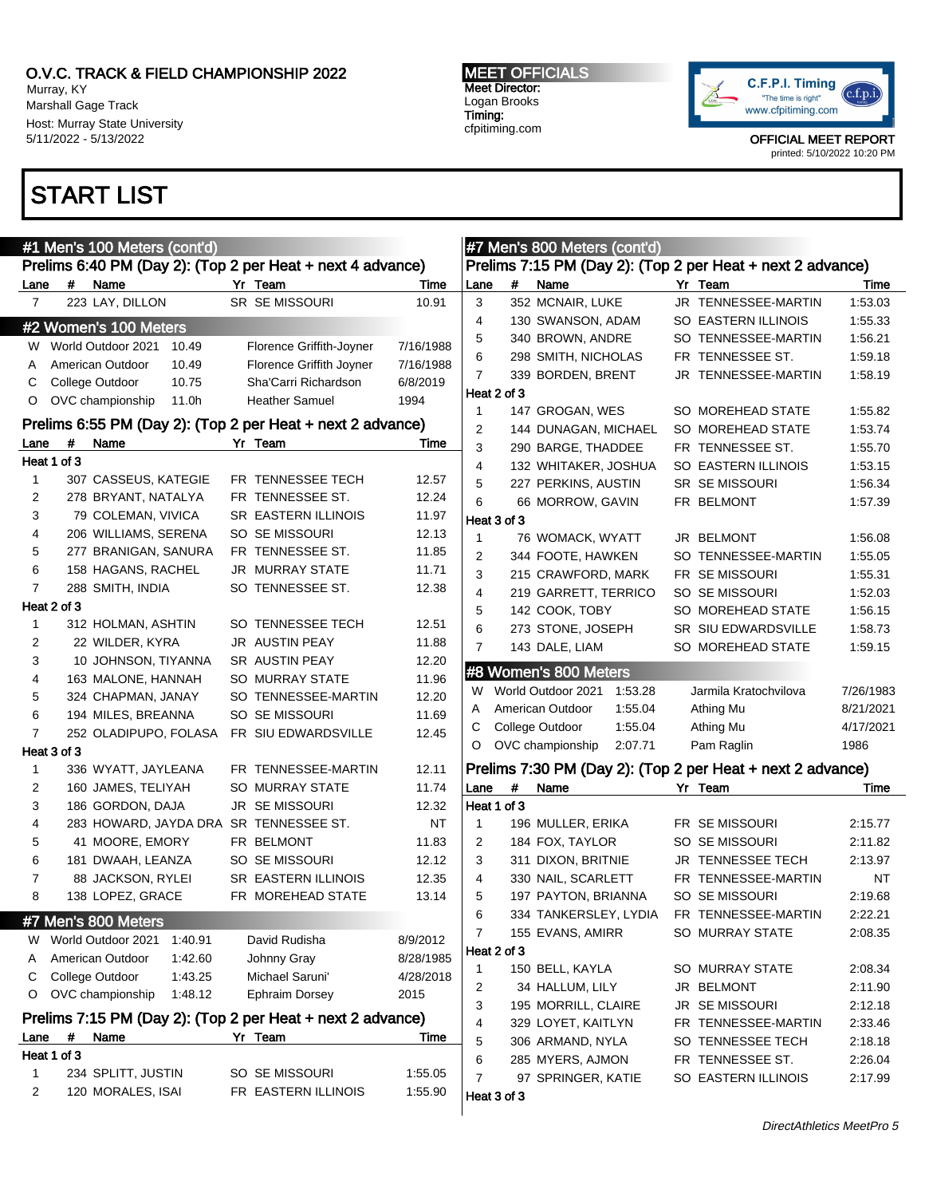Murray, KY Marshall Gage Track Host: Murray State University 5/11/2022 - 5/13/2022

## START LIST

| <b>MEET OFFICIALS</b> |
|-----------------------|
| <b>Meet Director:</b> |
| Logan Brooks          |
| Timing:               |
| cfpitiming.com        |

 $\frac{1}{2}$   $\frac{1}{2}$   $\frac{1}{2}$   $\frac{1}{2}$   $\frac{1}{2}$   $\frac{1}{2}$   $\frac{1}{2}$   $\frac{1}{2}$   $\frac{1}{2}$   $\frac{1}{2}$   $\frac{1}{2}$   $\frac{1}{2}$   $\frac{1}{2}$   $\frac{1}{2}$   $\frac{1}{2}$   $\frac{1}{2}$   $\frac{1}{2}$   $\frac{1}{2}$   $\frac{1}{2}$   $\frac{1}{2}$   $\frac{1}{2}$   $\frac{1}{2}$ 



| #1 Men's 100 Meters (cont'd) |             |                               |                                                            |           |                |             | #7 Men's 800 Meters (cont'd)  |  |                                                            |           |  |  |  |
|------------------------------|-------------|-------------------------------|------------------------------------------------------------|-----------|----------------|-------------|-------------------------------|--|------------------------------------------------------------|-----------|--|--|--|
|                              |             |                               | Prelims 6:40 PM (Day 2): (Top 2 per Heat + next 4 advance) |           |                |             |                               |  | Prelims 7:15 PM (Day 2): (Top 2 per Heat + next 2 advance) |           |  |  |  |
| Lane                         | #           | Name                          | Yr Team                                                    | Time      | Lane           | $\#$        | Name                          |  | Yr Team                                                    | Time      |  |  |  |
| $\overline{7}$               |             | 223 LAY, DILLON               | SR SE MISSOURI                                             | 10.91     | 3              |             | 352 MCNAIR, LUKE              |  | JR TENNESSEE-MARTIN                                        | 1:53.03   |  |  |  |
|                              |             | #2 Women's 100 Meters         |                                                            |           | 4              |             | 130 SWANSON, ADAM             |  | SO EASTERN ILLINOIS                                        | 1:55.33   |  |  |  |
|                              |             | W World Outdoor 2021<br>10.49 | Florence Griffith-Joyner                                   | 7/16/1988 | 5              |             | 340 BROWN, ANDRE              |  | SO TENNESSEE-MARTIN                                        | 1:56.21   |  |  |  |
| Α                            |             | American Outdoor<br>10.49     | Florence Griffith Joyner                                   | 7/16/1988 | 6              |             | 298 SMITH, NICHOLAS           |  | FR TENNESSEE ST.                                           | 1:59.18   |  |  |  |
| C                            |             | College Outdoor<br>10.75      | Sha'Carri Richardson                                       | 6/8/2019  | $\overline{7}$ |             | 339 BORDEN, BRENT             |  | JR TENNESSEE-MARTIN                                        | 1:58.19   |  |  |  |
| O                            |             | OVC championship<br>11.0h     | <b>Heather Samuel</b>                                      | 1994      | Heat 2 of 3    |             |                               |  |                                                            |           |  |  |  |
|                              |             |                               |                                                            |           | $\mathbf{1}$   |             | 147 GROGAN, WES               |  | SO MOREHEAD STATE                                          | 1:55.82   |  |  |  |
|                              |             |                               | Prelims 6:55 PM (Day 2): (Top 2 per Heat + next 2 advance) |           | 2              |             | 144 DUNAGAN, MICHAEL          |  | SO MOREHEAD STATE                                          | 1:53.74   |  |  |  |
| Lane                         | #           | Name                          | Yr Team                                                    | Time      | 3              |             | 290 BARGE, THADDEE            |  | FR TENNESSEE ST.                                           | 1:55.70   |  |  |  |
|                              | Heat 1 of 3 |                               |                                                            |           | 4              |             | 132 WHITAKER, JOSHUA          |  | <b>SO EASTERN ILLINOIS</b>                                 | 1:53.15   |  |  |  |
| 1                            |             | 307 CASSEUS, KATEGIE          | FR TENNESSEE TECH                                          | 12.57     | 5              |             | 227 PERKINS, AUSTIN           |  | <b>SR SE MISSOURI</b>                                      | 1:56.34   |  |  |  |
| 2                            |             | 278 BRYANT, NATALYA           | FR TENNESSEE ST.                                           | 12.24     | 6              |             | 66 MORROW, GAVIN              |  | FR BELMONT                                                 | 1:57.39   |  |  |  |
| 3                            |             | 79 COLEMAN, VIVICA            | <b>SR EASTERN ILLINOIS</b>                                 | 11.97     | Heat 3 of 3    |             |                               |  |                                                            |           |  |  |  |
| 4                            |             | 206 WILLIAMS, SERENA          | SO SE MISSOURI                                             | 12.13     | $\mathbf{1}$   |             | 76 WOMACK, WYATT              |  | JR BELMONT                                                 | 1:56.08   |  |  |  |
| 5                            |             | 277 BRANIGAN, SANURA          | FR TENNESSEE ST.                                           | 11.85     | 2              |             | 344 FOOTE, HAWKEN             |  | SO TENNESSEE-MARTIN                                        | 1:55.05   |  |  |  |
| 6                            |             | 158 HAGANS, RACHEL            | <b>JR MURRAY STATE</b>                                     | 11.71     | 3              |             | 215 CRAWFORD, MARK            |  | FR SE MISSOURI                                             | 1:55.31   |  |  |  |
| $\overline{7}$               |             | 288 SMITH, INDIA              | SO TENNESSEE ST.                                           | 12.38     | 4              |             | 219 GARRETT, TERRICO          |  | SO SE MISSOURI                                             | 1:52.03   |  |  |  |
|                              | Heat 2 of 3 |                               |                                                            |           | 5              |             | 142 COOK, TOBY                |  | SO MOREHEAD STATE                                          | 1:56.15   |  |  |  |
| 1                            |             | 312 HOLMAN, ASHTIN            | SO TENNESSEE TECH                                          | 12.51     | 6              |             | 273 STONE, JOSEPH             |  | SR SIU EDWARDSVILLE                                        | 1:58.73   |  |  |  |
| 2                            |             | 22 WILDER, KYRA               | <b>JR AUSTIN PEAY</b>                                      | 11.88     | $\overline{7}$ |             | 143 DALE, LIAM                |  | SO MOREHEAD STATE                                          | 1:59.15   |  |  |  |
| 3                            |             | 10 JOHNSON, TIYANNA           | SR AUSTIN PEAY                                             | 12.20     |                |             | #8 Women's 800 Meters         |  |                                                            |           |  |  |  |
| 4                            |             | 163 MALONE, HANNAH            | SO MURRAY STATE                                            | 11.96     | W              |             | World Outdoor 2021<br>1:53.28 |  | Jarmila Kratochvilova                                      | 7/26/1983 |  |  |  |
| 5                            |             | 324 CHAPMAN, JANAY            | SO TENNESSEE-MARTIN                                        | 12.20     |                |             | American Outdoor<br>1:55.04   |  |                                                            | 8/21/2021 |  |  |  |
| 6                            |             | 194 MILES, BREANNA            | SO SE MISSOURI                                             | 11.69     | A              |             |                               |  | Athing Mu                                                  |           |  |  |  |
| $\overline{7}$               |             | 252 OLADIPUPO, FOLASA         | FR SIU EDWARDSVILLE                                        | 12.45     | С              |             | College Outdoor<br>1:55.04    |  | Athing Mu                                                  | 4/17/2021 |  |  |  |
|                              | Heat 3 of 3 |                               |                                                            |           | O              |             | OVC championship<br>2:07.71   |  | Pam Raglin                                                 | 1986      |  |  |  |
| 1                            |             | 336 WYATT, JAYLEANA           | FR TENNESSEE-MARTIN                                        | 12.11     |                |             |                               |  | Prelims 7:30 PM (Day 2): (Top 2 per Heat + next 2 advance) |           |  |  |  |
| 2                            |             | 160 JAMES, TELIYAH            | SO MURRAY STATE                                            | 11.74     | Lane           | #           | Name                          |  | Yr Team                                                    | Time      |  |  |  |
| 3                            |             | 186 GORDON, DAJA              | <b>JR SEMISSOURI</b>                                       | 12.32     |                | Heat 1 of 3 |                               |  |                                                            |           |  |  |  |
| 4                            |             | 283 HOWARD, JAYDA DRA         | SR TENNESSEE ST.                                           | <b>NT</b> | 1              |             | 196 MULLER, ERIKA             |  | FR SE MISSOURI                                             | 2:15.77   |  |  |  |
| 5                            |             | 41 MOORE, EMORY               | FR BELMONT                                                 | 11.83     | 2              |             | 184 FOX, TAYLOR               |  | SO SE MISSOURI                                             | 2:11.82   |  |  |  |
| 6                            |             | 181 DWAAH, LEANZA             | SO SE MISSOURI                                             | 12.12     | 3              |             | 311 DIXON, BRITNIE            |  | JR TENNESSEE TECH                                          | 2:13.97   |  |  |  |
| $\overline{7}$               |             | 88 JACKSON, RYLEI             | SR EASTERN ILLINOIS                                        | 12.35     | 4              |             | 330 NAIL, SCARLETT            |  | FR TENNESSEE-MARTIN                                        | <b>NT</b> |  |  |  |
| 8                            |             | 138 LOPEZ, GRACE              | FR MOREHEAD STATE                                          | 13.14     | 5              |             | 197 PAYTON, BRIANNA           |  | SO SE MISSOURI                                             | 2:19.68   |  |  |  |
|                              |             | #7 Men's 800 Meters           |                                                            |           | 6              |             | 334 TANKERSLEY, LYDIA         |  | FR TENNESSEE-MARTIN                                        | 2:22.21   |  |  |  |
| W                            |             | World Outdoor 2021<br>1:40.91 | David Rudisha                                              | 8/9/2012  | 7              |             | 155 EVANS, AMIRR              |  | SO MURRAY STATE                                            | 2:08.35   |  |  |  |
| Α                            |             | American Outdoor<br>1:42.60   | Johnny Gray                                                | 8/28/1985 |                | Heat 2 of 3 |                               |  |                                                            |           |  |  |  |
| С                            |             | College Outdoor<br>1:43.25    | Michael Saruni'                                            | 4/28/2018 | 1              |             | 150 BELL, KAYLA               |  | SO MURRAY STATE                                            | 2:08.34   |  |  |  |
| O                            |             | OVC championship<br>1:48.12   | <b>Ephraim Dorsey</b>                                      | 2015      | 2              |             | 34 HALLUM, LILY               |  | JR BELMONT                                                 | 2:11.90   |  |  |  |
|                              |             |                               |                                                            |           | 3              |             | 195 MORRILL, CLAIRE           |  | <b>JR SE MISSOURI</b>                                      | 2:12.18   |  |  |  |
|                              |             |                               | Prelims 7:15 PM (Day 2): (Top 2 per Heat + next 2 advance) |           | 4              |             | 329 LOYET, KAITLYN            |  | FR TENNESSEE-MARTIN                                        | 2:33.46   |  |  |  |
| Lane                         | $\pmb{\#}$  | Name                          | Yr Team                                                    | Time      | 5              |             | 306 ARMAND, NYLA              |  | SO TENNESSEE TECH                                          | 2:18.18   |  |  |  |
|                              | Heat 1 of 3 |                               |                                                            |           | 6              |             | 285 MYERS, AJMON              |  | FR TENNESSEE ST.                                           | 2:26.04   |  |  |  |
| 1                            |             | 234 SPLITT, JUSTIN            | SO SE MISSOURI                                             | 1:55.05   | 7              |             | 97 SPRINGER, KATIE            |  | SO EASTERN ILLINOIS                                        | 2:17.99   |  |  |  |
| 2                            |             | 120 MORALES, ISAI             | FR EASTERN ILLINOIS                                        | 1:55.90   | Heat 3 of 3    |             |                               |  |                                                            |           |  |  |  |